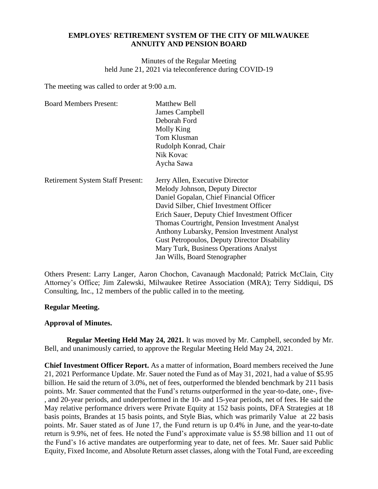## **EMPLOYES' RETIREMENT SYSTEM OF THE CITY OF MILWAUKEE ANNUITY AND PENSION BOARD**

Minutes of the Regular Meeting held June 21, 2021 via teleconference during COVID-19

The meeting was called to order at 9:00 a.m.

| <b>Board Members Present:</b>           | <b>Matthew Bell</b><br>James Campbell<br>Deborah Ford<br>Molly King<br>Tom Klusman<br>Rudolph Konrad, Chair<br>Nik Kovac                                                                                                                                                                                                                                                                                                                   |
|-----------------------------------------|--------------------------------------------------------------------------------------------------------------------------------------------------------------------------------------------------------------------------------------------------------------------------------------------------------------------------------------------------------------------------------------------------------------------------------------------|
|                                         | Aycha Sawa                                                                                                                                                                                                                                                                                                                                                                                                                                 |
| <b>Retirement System Staff Present:</b> | Jerry Allen, Executive Director<br>Melody Johnson, Deputy Director<br>Daniel Gopalan, Chief Financial Officer<br>David Silber, Chief Investment Officer<br>Erich Sauer, Deputy Chief Investment Officer<br>Thomas Courtright, Pension Investment Analyst<br>Anthony Lubarsky, Pension Investment Analyst<br><b>Gust Petropoulos, Deputy Director Disability</b><br>Mary Turk, Business Operations Analyst<br>Jan Wills, Board Stenographer |

Others Present: Larry Langer, Aaron Chochon, Cavanaugh Macdonald; Patrick McClain, City Attorney's Office; Jim Zalewski, Milwaukee Retiree Association (MRA); Terry Siddiqui, DS Consulting, Inc., 12 members of the public called in to the meeting.

## **Regular Meeting.**

## **Approval of Minutes.**

**Regular Meeting Held May 24, 2021.** It was moved by Mr. Campbell, seconded by Mr. Bell, and unanimously carried, to approve the Regular Meeting Held May 24, 2021.

**Chief Investment Officer Report.** As a matter of information, Board members received the June 21, 2021 Performance Update. Mr. Sauer noted the Fund as of May 31, 2021, had a value of \$5.95 billion. He said the return of 3.0%, net of fees, outperformed the blended benchmark by 211 basis points. Mr. Sauer commented that the Fund's returns outperformed in the year-to-date, one-, five- , and 20-year periods, and underperformed in the 10- and 15-year periods, net of fees. He said the May relative performance drivers were Private Equity at 152 basis points, DFA Strategies at 18 basis points, Brandes at 15 basis points, and Style Bias, which was primarily Value at 22 basis points. Mr. Sauer stated as of June 17, the Fund return is up 0.4% in June, and the year-to-date return is 9.9%, net of fees. He noted the Fund's approximate value is \$5.98 billion and 11 out of the Fund's 16 active mandates are outperforming year to date, net of fees. Mr. Sauer said Public Equity, Fixed Income, and Absolute Return asset classes, along with the Total Fund, are exceeding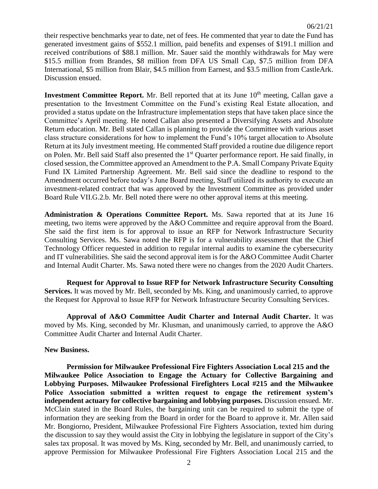their respective benchmarks year to date, net of fees. He commented that year to date the Fund has generated investment gains of \$552.1 million, paid benefits and expenses of \$191.1 million and received contributions of \$88.1 million. Mr. Sauer said the monthly withdrawals for May were \$15.5 million from Brandes, \$8 million from DFA US Small Cap, \$7.5 million from DFA International, \$5 million from Blair, \$4.5 million from Earnest, and \$3.5 million from CastleArk. Discussion ensued.

**Investment Committee Report.** Mr. Bell reported that at its June 10<sup>th</sup> meeting, Callan gave a presentation to the Investment Committee on the Fund's existing Real Estate allocation, and provided a status update on the Infrastructure implementation steps that have taken place since the Committee's April meeting. He noted Callan also presented a Diversifying Assets and Absolute Return education. Mr. Bell stated Callan is planning to provide the Committee with various asset class structure considerations for how to implement the Fund's 10% target allocation to Absolute Return at its July investment meeting. He commented Staff provided a routine due diligence report on Polen. Mr. Bell said Staff also presented the 1<sup>st</sup> Quarter performance report. He said finally, in closed session, the Committee approved an Amendment to the P.A. Small Company Private Equity Fund IX Limited Partnership Agreement. Mr. Bell said since the deadline to respond to the Amendment occurred before today's June Board meeting, Staff utilized its authority to execute an investment-related contract that was approved by the Investment Committee as provided under Board Rule VII.G.2.b. Mr. Bell noted there were no other approval items at this meeting.

**Administration & Operations Committee Report.** Ms. Sawa reported that at its June 16 meeting, two items were approved by the A&O Committee and require approval from the Board. She said the first item is for approval to issue an RFP for Network Infrastructure Security Consulting Services. Ms. Sawa noted the RFP is for a vulnerability assessment that the Chief Technology Officer requested in addition to regular internal audits to examine the cybersecurity and IT vulnerabilities. She said the second approval item is for the A&O Committee Audit Charter and Internal Audit Charter. Ms. Sawa noted there were no changes from the 2020 Audit Charters.

**Request for Approval to Issue RFP for Network Infrastructure Security Consulting Services.** It was moved by Mr. Bell, seconded by Ms. King, and unanimously carried, to approve the Request for Approval to Issue RFP for Network Infrastructure Security Consulting Services.

**Approval of A&O Committee Audit Charter and Internal Audit Charter.** It was moved by Ms. King, seconded by Mr. Klusman, and unanimously carried, to approve the A&O Committee Audit Charter and Internal Audit Charter.

#### **New Business.**

**Permission for Milwaukee Professional Fire Fighters Association Local 215 and the Milwaukee Police Association to Engage the Actuary for Collective Bargaining and Lobbying Purposes. Milwaukee Professional Firefighters Local #215 and the Milwaukee Police Association submitted a written request to engage the retirement system's independent actuary for collective bargaining and lobbying purposes.** Discussion ensued. Mr. McClain stated in the Board Rules, the bargaining unit can be required to submit the type of information they are seeking from the Board in order for the Board to approve it. Mr. Allen said Mr. Bongiorno, President, Milwaukee Professional Fire Fighters Association, texted him during the discussion to say they would assist the City in lobbying the legislature in support of the City's sales tax proposal. It was moved by Ms. King, seconded by Mr. Bell, and unanimously carried, to approve Permission for Milwaukee Professional Fire Fighters Association Local 215 and the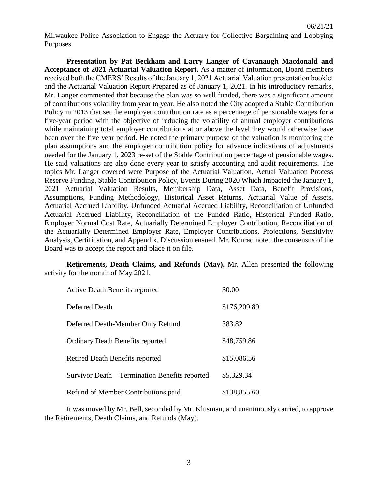Milwaukee Police Association to Engage the Actuary for Collective Bargaining and Lobbying Purposes.

**Presentation by Pat Beckham and Larry Langer of Cavanaugh Macdonald and Acceptance of 2021 Actuarial Valuation Report.** As a matter of information, Board members received both the CMERS' Results of the January 1, 2021 Actuarial Valuation presentation booklet and the Actuarial Valuation Report Prepared as of January 1, 2021. In his introductory remarks, Mr. Langer commented that because the plan was so well funded, there was a significant amount of contributions volatility from year to year. He also noted the City adopted a Stable Contribution Policy in 2013 that set the employer contribution rate as a percentage of pensionable wages for a five-year period with the objective of reducing the volatility of annual employer contributions while maintaining total employer contributions at or above the level they would otherwise have been over the five year period. He noted the primary purpose of the valuation is monitoring the plan assumptions and the employer contribution policy for advance indications of adjustments needed for the January 1, 2023 re-set of the Stable Contribution percentage of pensionable wages. He said valuations are also done every year to satisfy accounting and audit requirements. The topics Mr. Langer covered were Purpose of the Actuarial Valuation, Actual Valuation Process Reserve Funding, Stable Contribution Policy, Events During 2020 Which Impacted the January 1, 2021 Actuarial Valuation Results, Membership Data, Asset Data, Benefit Provisions, Assumptions, Funding Methodology, Historical Asset Returns, Actuarial Value of Assets, Actuarial Accrued Liability, Unfunded Actuarial Accrued Liability, Reconciliation of Unfunded Actuarial Accrued Liability, Reconciliation of the Funded Ratio, Historical Funded Ratio, Employer Normal Cost Rate, Actuarially Determined Employer Contribution, Reconciliation of the Actuarially Determined Employer Rate, Employer Contributions, Projections, Sensitivity Analysis, Certification, and Appendix. Discussion ensued. Mr. Konrad noted the consensus of the Board was to accept the report and place it on file.

**Retirements, Death Claims, and Refunds (May).** Mr. Allen presented the following activity for the month of May 2021.

| <b>Active Death Benefits reported</b>          | \$0.00       |
|------------------------------------------------|--------------|
| Deferred Death                                 | \$176,209.89 |
| Deferred Death-Member Only Refund              | 383.82       |
| <b>Ordinary Death Benefits reported</b>        | \$48,759.86  |
| Retired Death Benefits reported                | \$15,086.56  |
| Survivor Death – Termination Benefits reported | \$5,329.34   |
| Refund of Member Contributions paid            | \$138,855.60 |

It was moved by Mr. Bell, seconded by Mr. Klusman, and unanimously carried, to approve the Retirements, Death Claims, and Refunds (May).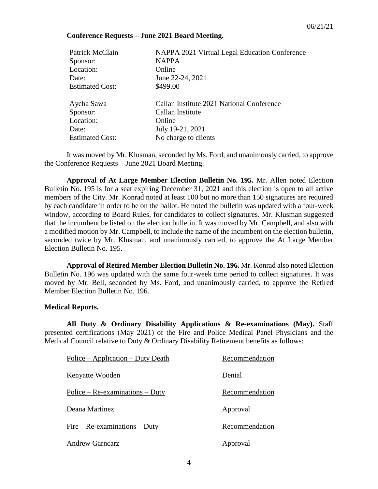### **Conference Requests – June 2021 Board Meeting.**

| Patrick McClain        | NAPPA 2021 Virtual Legal Education Conference |
|------------------------|-----------------------------------------------|
| Sponsor:               | <b>NAPPA</b>                                  |
| Location:              | Online                                        |
| Date:                  | June 22-24, 2021                              |
| <b>Estimated Cost:</b> | \$499.00                                      |
| Aycha Sawa             | Callan Institute 2021 National Conference     |
| Sponsor:               | Callan Institute                              |
| Location:              | Online                                        |
| Date:                  | July 19-21, 2021                              |
| <b>Estimated Cost:</b> | No charge to clients                          |
|                        |                                               |

It was moved by Mr. Klusman, seconded by Ms. Ford, and unanimously carried, to approve the Conference Requests – June 2021 Board Meeting.

**Approval of At Large Member Election Bulletin No. 195.** Mr. Allen noted Election Bulletin No. 195 is for a seat expiring December 31, 2021 and this election is open to all active members of the City. Mr. Konrad noted at least 100 but no more than 150 signatures are required by each candidate in order to be on the ballot. He noted the bulletin was updated with a four-week window, according to Board Rules, for candidates to collect signatures. Mr. Klusman suggested that the incumbent be listed on the election bulletin. It was moved by Mr. Campbell, and also with a modified motion by Mr. Campbell, to include the name of the incumbent on the election bulletin, seconded twice by Mr. Klusman, and unanimously carried, to approve the At Large Member Election Bulletin No. 195.

**Approval of Retired Member Election Bulletin No. 196.** Mr. Konrad also noted Election Bulletin No. 196 was updated with the same four-week time period to collect signatures. It was moved by Mr. Bell, seconded by Ms. Ford, and unanimously carried, to approve the Retired Member Election Bulletin No. 196.

#### **Medical Reports.**

**All Duty & Ordinary Disability Applications & Re-examinations (May).** Staff presented certifications (May 2021) of the Fire and Police Medical Panel Physicians and the Medical Council relative to Duty & Ordinary Disability Retirement benefits as follows:

| Police – Application – Duty Death | Recommendation |
|-----------------------------------|----------------|
| Kenyatte Wooden                   | Denial         |
| Police – $Re-examinations - Duty$ | Recommendation |
| Deana Martinez                    | Approval       |
| $Fire - Re-examinations - Duty$   | Recommendation |
| <b>Andrew Garncarz</b>            | Approval       |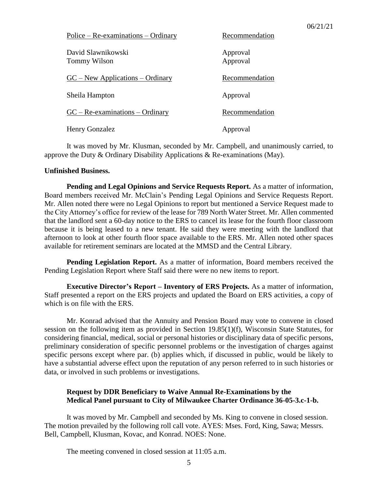| $Police - Re-examinations - Ordinary$ | Recommendation       |
|---------------------------------------|----------------------|
| David Slawnikowski<br>Tommy Wilson    | Approval<br>Approval |
| $GC - New Applications - Ordinary$    | Recommendation       |
| Sheila Hampton                        | Approval             |
| $GC - Re-examinations - Ordinary$     | Recommendation       |
| Henry Gonzalez                        | Approval             |

It was moved by Mr. Klusman, seconded by Mr. Campbell, and unanimously carried, to approve the Duty & Ordinary Disability Applications & Re-examinations (May).

#### **Unfinished Business.**

**Pending and Legal Opinions and Service Requests Report.** As a matter of information, Board members received Mr. McClain's Pending Legal Opinions and Service Requests Report. Mr. Allen noted there were no Legal Opinions to report but mentioned a Service Request made to the City Attorney's office for review of the lease for 789 North Water Street. Mr. Allen commented that the landlord sent a 60-day notice to the ERS to cancel its lease for the fourth floor classroom because it is being leased to a new tenant. He said they were meeting with the landlord that afternoon to look at other fourth floor space available to the ERS. Mr. Allen noted other spaces available for retirement seminars are located at the MMSD and the Central Library.

**Pending Legislation Report.** As a matter of information, Board members received the Pending Legislation Report where Staff said there were no new items to report.

**Executive Director's Report – Inventory of ERS Projects.** As a matter of information, Staff presented a report on the ERS projects and updated the Board on ERS activities, a copy of which is on file with the ERS.

Mr. Konrad advised that the Annuity and Pension Board may vote to convene in closed session on the following item as provided in Section 19.85(1)(f), Wisconsin State Statutes, for considering financial, medical, social or personal histories or disciplinary data of specific persons, preliminary consideration of specific personnel problems or the investigation of charges against specific persons except where par. (b) applies which, if discussed in public, would be likely to have a substantial adverse effect upon the reputation of any person referred to in such histories or data, or involved in such problems or investigations.

# **Request by DDR Beneficiary to Waive Annual Re-Examinations by the Medical Panel pursuant to City of Milwaukee Charter Ordinance 36-05-3.c-1-b.**

It was moved by Mr. Campbell and seconded by Ms. King to convene in closed session. The motion prevailed by the following roll call vote. AYES: Mses. Ford, King, Sawa; Messrs. Bell, Campbell, Klusman, Kovac, and Konrad. NOES: None.

The meeting convened in closed session at 11:05 a.m.